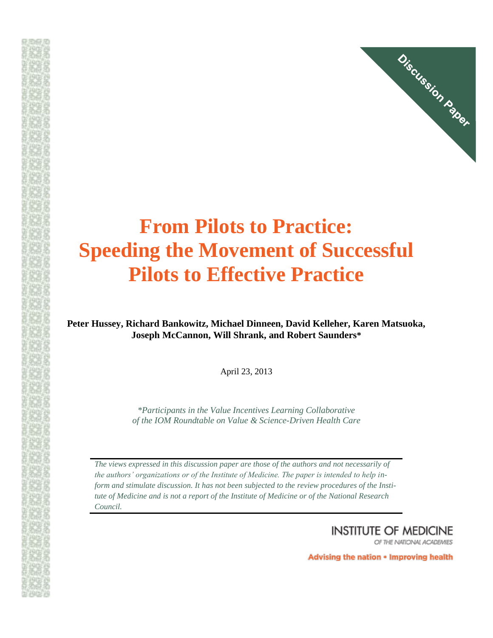

# **From Pilots to Practice: Speeding the Movement of Successful Pilots to Effective Practice**

**Peter Hussey, Richard Bankowitz, Michael Dinneen, David Kelleher, Karen Matsuoka, Joseph McCannon, Will Shrank, and Robert Saunders\***

April 23, 2013

*\*Participants in the Value Incentives Learning Collaborative of the IOM Roundtable on Value & Science-Driven Health Care*

*The views expressed in this discussion paper are those of the authors and not necessarily of the authors' organizations or of the Institute of Medicine. The paper is intended to help inform and stimulate discussion. It has not been subjected to the review procedures of the Institute of Medicine and is not a report of the Institute of Medicine or of the National Research Council.*

> **INSTITUTE OF MEDICINE** OF THE NATIONAL ACADEMIES

Advising the nation • Improving health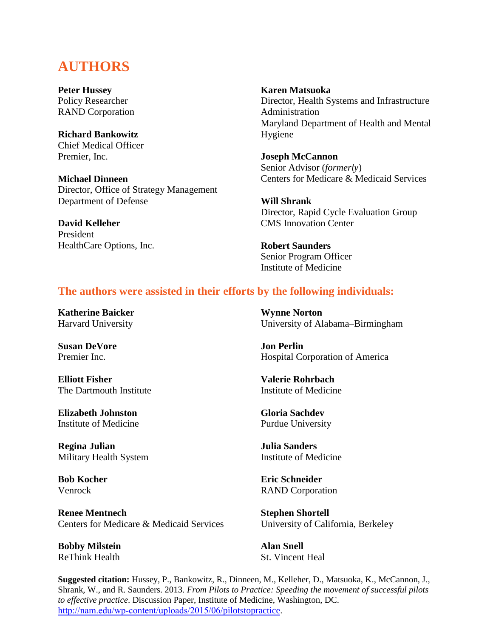# **AUTHORS**

**Peter Hussey**  Policy Researcher RAND Corporation

**Richard Bankowitz**  Chief Medical Officer Premier, Inc.

**Michael Dinneen**  Director, Office of Strategy Management Department of Defense

**David Kelleher**  President HealthCare Options, Inc.

#### **Karen Matsuoka**

Director, Health Systems and Infrastructure Administration Maryland Department of Health and Mental Hygiene

**Joseph McCannon**  Senior Advisor (*formerly*) Centers for Medicare & Medicaid Services

**Will Shrank**  Director, Rapid Cycle Evaluation Group CMS Innovation Center

**Robert Saunders**  Senior Program Officer Institute of Medicine

# **The authors were assisted in their efforts by the following individuals:**

**Katherine Baicker**  Harvard University

**Susan DeVore**  Premier Inc.

**Elliott Fisher**  The Dartmouth Institute

**Elizabeth Johnston**  Institute of Medicine

**Regina Julian**  Military Health System

**Bob Kocher**  Venrock

**Renee Mentnech**  Centers for Medicare & Medicaid Services

**Bobby Milstein**  ReThink Health

**Wynne Norton**  University of Alabama–Birmingham

**Jon Perlin**  Hospital Corporation of America

**Valerie Rohrbach**  Institute of Medicine

**Gloria Sachdev** Purdue University

**Julia Sanders**  Institute of Medicine

**Eric Schneider**  RAND Corporation

**Stephen Shortell**  University of California, Berkeley

**Alan Snell**  St. Vincent Heal

**Suggested citation:** Hussey, P., Bankowitz, R., Dinneen, M., Kelleher, D., Matsuoka, K., McCannon, J., Shrank, W., and R. Saunders. 2013. *From Pilots to Practice: Speeding the movement of successful pilots to effective practice*. Discussion Paper, Institute of Medicine, Washington, DC. http://nam.edu/wp-content/uploads/2015/06/pilotstopractice.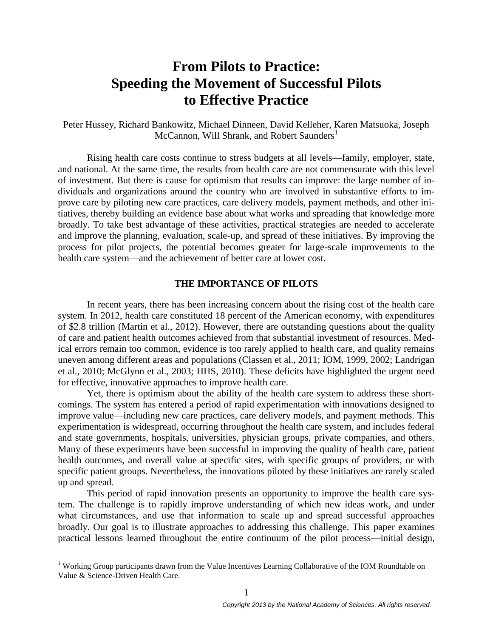# **From Pilots to Practice: Speeding the Movement of Successful Pilots to Effective Practice**

Peter Hussey, Richard Bankowitz, Michael Dinneen, David Kelleher, Karen Matsuoka, Joseph McCannon, Will Shrank, and Robert Saunders<sup>1</sup>

Rising health care costs continue to stress budgets at all levels—family, employer, state, and national. At the same time, the results from health care are not commensurate with this level of investment. But there is cause for optimism that results can improve: the large number of individuals and organizations around the country who are involved in substantive efforts to improve care by piloting new care practices, care delivery models, payment methods, and other initiatives, thereby building an evidence base about what works and spreading that knowledge more broadly. To take best advantage of these activities, practical strategies are needed to accelerate and improve the planning, evaluation, scale-up, and spread of these initiatives. By improving the process for pilot projects, the potential becomes greater for large-scale improvements to the health care system—and the achievement of better care at lower cost.

### **THE IMPORTANCE OF PILOTS**

In recent years, there has been increasing concern about the rising cost of the health care system. In 2012, health care constituted 18 percent of the American economy, with expenditures of \$2.8 trillion (Martin et al., 2012). However, there are outstanding questions about the quality of care and patient health outcomes achieved from that substantial investment of resources. Medical errors remain too common, evidence is too rarely applied to health care, and quality remains uneven among different areas and populations (Classen et al., 2011; IOM, 1999, 2002; Landrigan et al., 2010; McGlynn et al., 2003; HHS, 2010). These deficits have highlighted the urgent need for effective, innovative approaches to improve health care.

Yet, there is optimism about the ability of the health care system to address these shortcomings. The system has entered a period of rapid experimentation with innovations designed to improve value—including new care practices, care delivery models, and payment methods. This experimentation is widespread, occurring throughout the health care system, and includes federal and state governments, hospitals, universities, physician groups, private companies, and others. Many of these experiments have been successful in improving the quality of health care, patient health outcomes, and overall value at specific sites, with specific groups of providers, or with specific patient groups. Nevertheless, the innovations piloted by these initiatives are rarely scaled up and spread.

This period of rapid innovation presents an opportunity to improve the health care system. The challenge is to rapidly improve understanding of which new ideas work, and under what circumstances, and use that information to scale up and spread successful approaches broadly. Our goal is to illustrate approaches to addressing this challenge. This paper examines practical lessons learned throughout the entire continuum of the pilot process—initial design,

<sup>&</sup>lt;sup>1</sup> Working Group participants drawn from the Value Incentives Learning Collaborative of the IOM Roundtable on Value & Science-Driven Health Care.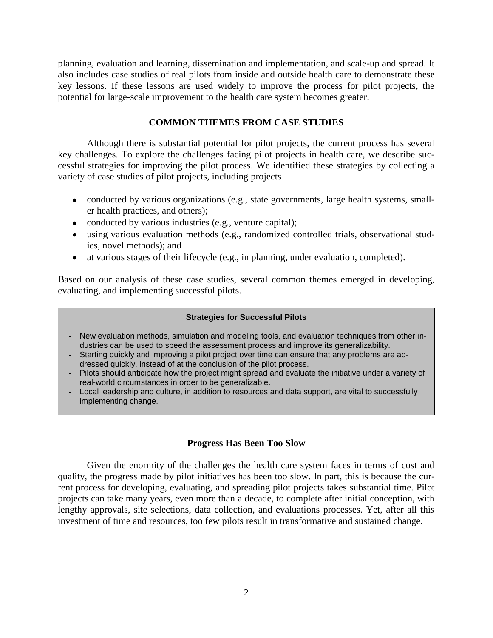planning, evaluation and learning, dissemination and implementation, and scale-up and spread. It also includes case studies of real pilots from inside and outside health care to demonstrate these key lessons. If these lessons are used widely to improve the process for pilot projects, the potential for large-scale improvement to the health care system becomes greater.

# **COMMON THEMES FROM CASE STUDIES**

Although there is substantial potential for pilot projects, the current process has several key challenges. To explore the challenges facing pilot projects in health care, we describe successful strategies for improving the pilot process. We identified these strategies by collecting a variety of case studies of pilot projects, including projects

- conducted by various organizations (e.g., state governments, large health systems, smaller health practices, and others);
- conducted by various industries (e.g., venture capital);
- using various evaluation methods (e.g., randomized controlled trials, observational studies, novel methods); and
- at various stages of their lifecycle (e.g., in planning, under evaluation, completed).

Based on our analysis of these case studies, several common themes emerged in developing, evaluating, and implementing successful pilots.

#### **Strategies for Successful Pilots**

- New evaluation methods, simulation and modeling tools, and evaluation techniques from other industries can be used to speed the assessment process and improve its generalizability.
- Starting quickly and improving a pilot project over time can ensure that any problems are addressed quickly, instead of at the conclusion of the pilot process.
- Pilots should anticipate how the project might spread and evaluate the initiative under a variety of real-world circumstances in order to be generalizable.
- Local leadership and culture, in addition to resources and data support, are vital to successfully implementing change.

# **Progress Has Been Too Slow**

Given the enormity of the challenges the health care system faces in terms of cost and quality, the progress made by pilot initiatives has been too slow. In part, this is because the current process for developing, evaluating, and spreading pilot projects takes substantial time. Pilot projects can take many years, even more than a decade, to complete after initial conception, with lengthy approvals, site selections, data collection, and evaluations processes. Yet, after all this investment of time and resources, too few pilots result in transformative and sustained change.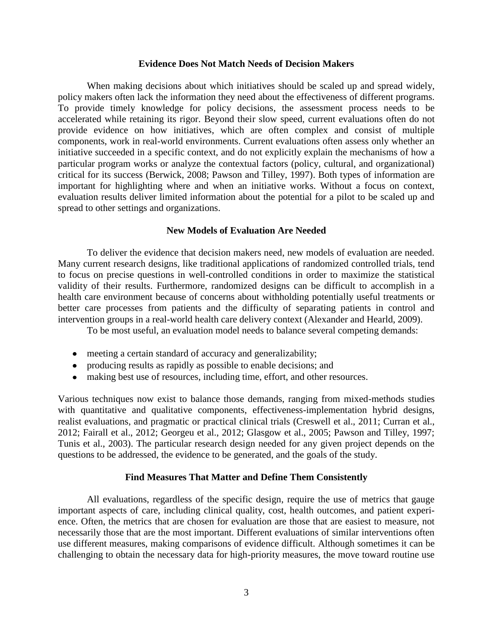#### **Evidence Does Not Match Needs of Decision Makers**

When making decisions about which initiatives should be scaled up and spread widely, policy makers often lack the information they need about the effectiveness of different programs. To provide timely knowledge for policy decisions, the assessment process needs to be accelerated while retaining its rigor. Beyond their slow speed, current evaluations often do not provide evidence on how initiatives, which are often complex and consist of multiple components, work in real-world environments. Current evaluations often assess only whether an initiative succeeded in a specific context, and do not explicitly explain the mechanisms of how a particular program works or analyze the contextual factors (policy, cultural, and organizational) critical for its success (Berwick, 2008; Pawson and Tilley, 1997). Both types of information are important for highlighting where and when an initiative works. Without a focus on context, evaluation results deliver limited information about the potential for a pilot to be scaled up and spread to other settings and organizations.

#### **New Models of Evaluation Are Needed**

To deliver the evidence that decision makers need, new models of evaluation are needed. Many current research designs, like traditional applications of randomized controlled trials, tend to focus on precise questions in well-controlled conditions in order to maximize the statistical validity of their results. Furthermore, randomized designs can be difficult to accomplish in a health care environment because of concerns about withholding potentially useful treatments or better care processes from patients and the difficulty of separating patients in control and intervention groups in a real-world health care delivery context (Alexander and Hearld, 2009).

To be most useful, an evaluation model needs to balance several competing demands:

- meeting a certain standard of accuracy and generalizability;
- producing results as rapidly as possible to enable decisions; and
- making best use of resources, including time, effort, and other resources.

Various techniques now exist to balance those demands, ranging from mixed-methods studies with quantitative and qualitative components, effectiveness-implementation hybrid designs, realist evaluations, and pragmatic or practical clinical trials (Creswell et al., 2011; Curran et al., 2012; Fairall et al., 2012; Georgeu et al., 2012; Glasgow et al., 2005; Pawson and Tilley, 1997; Tunis et al., 2003). The particular research design needed for any given project depends on the questions to be addressed, the evidence to be generated, and the goals of the study.

#### **Find Measures That Matter and Define Them Consistently**

All evaluations, regardless of the specific design, require the use of metrics that gauge important aspects of care, including clinical quality, cost, health outcomes, and patient experience. Often, the metrics that are chosen for evaluation are those that are easiest to measure, not necessarily those that are the most important. Different evaluations of similar interventions often use different measures, making comparisons of evidence difficult. Although sometimes it can be challenging to obtain the necessary data for high-priority measures, the move toward routine use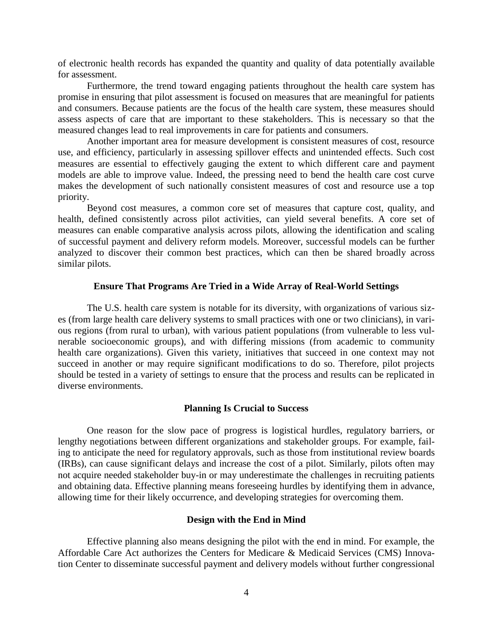of electronic health records has expanded the quantity and quality of data potentially available for assessment.

Furthermore, the trend toward engaging patients throughout the health care system has promise in ensuring that pilot assessment is focused on measures that are meaningful for patients and consumers. Because patients are the focus of the health care system, these measures should assess aspects of care that are important to these stakeholders. This is necessary so that the measured changes lead to real improvements in care for patients and consumers.

Another important area for measure development is consistent measures of cost, resource use, and efficiency, particularly in assessing spillover effects and unintended effects. Such cost measures are essential to effectively gauging the extent to which different care and payment models are able to improve value. Indeed, the pressing need to bend the health care cost curve makes the development of such nationally consistent measures of cost and resource use a top priority.

Beyond cost measures, a common core set of measures that capture cost, quality, and health, defined consistently across pilot activities, can yield several benefits. A core set of measures can enable comparative analysis across pilots, allowing the identification and scaling of successful payment and delivery reform models. Moreover, successful models can be further analyzed to discover their common best practices, which can then be shared broadly across similar pilots.

#### **Ensure That Programs Are Tried in a Wide Array of Real-World Settings**

The U.S. health care system is notable for its diversity, with organizations of various sizes (from large health care delivery systems to small practices with one or two clinicians), in various regions (from rural to urban), with various patient populations (from vulnerable to less vulnerable socioeconomic groups), and with differing missions (from academic to community health care organizations). Given this variety, initiatives that succeed in one context may not succeed in another or may require significant modifications to do so. Therefore, pilot projects should be tested in a variety of settings to ensure that the process and results can be replicated in diverse environments.

#### **Planning Is Crucial to Success**

One reason for the slow pace of progress is logistical hurdles, regulatory barriers, or lengthy negotiations between different organizations and stakeholder groups. For example, failing to anticipate the need for regulatory approvals, such as those from institutional review boards (IRBs), can cause significant delays and increase the cost of a pilot. Similarly, pilots often may not acquire needed stakeholder buy-in or may underestimate the challenges in recruiting patients and obtaining data. Effective planning means foreseeing hurdles by identifying them in advance, allowing time for their likely occurrence, and developing strategies for overcoming them.

#### **Design with the End in Mind**

Effective planning also means designing the pilot with the end in mind. For example, the Affordable Care Act authorizes the Centers for Medicare & Medicaid Services (CMS) Innovation Center to disseminate successful payment and delivery models without further congressional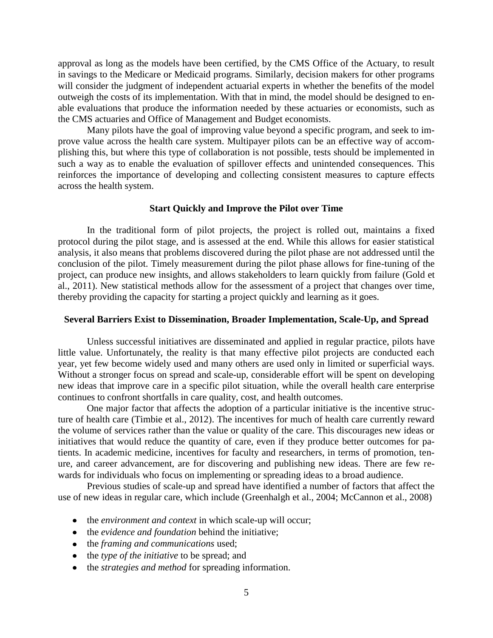approval as long as the models have been certified, by the CMS Office of the Actuary, to result in savings to the Medicare or Medicaid programs. Similarly, decision makers for other programs will consider the judgment of independent actuarial experts in whether the benefits of the model outweigh the costs of its implementation. With that in mind, the model should be designed to enable evaluations that produce the information needed by these actuaries or economists, such as the CMS actuaries and Office of Management and Budget economists.

Many pilots have the goal of improving value beyond a specific program, and seek to improve value across the health care system. Multipayer pilots can be an effective way of accomplishing this, but where this type of collaboration is not possible, tests should be implemented in such a way as to enable the evaluation of spillover effects and unintended consequences. This reinforces the importance of developing and collecting consistent measures to capture effects across the health system.

#### **Start Quickly and Improve the Pilot over Time**

In the traditional form of pilot projects, the project is rolled out, maintains a fixed protocol during the pilot stage, and is assessed at the end. While this allows for easier statistical analysis, it also means that problems discovered during the pilot phase are not addressed until the conclusion of the pilot. Timely measurement during the pilot phase allows for fine-tuning of the project, can produce new insights, and allows stakeholders to learn quickly from failure (Gold et al., 2011). New statistical methods allow for the assessment of a project that changes over time, thereby providing the capacity for starting a project quickly and learning as it goes.

#### **Several Barriers Exist to Dissemination, Broader Implementation, Scale-Up, and Spread**

Unless successful initiatives are disseminated and applied in regular practice, pilots have little value. Unfortunately, the reality is that many effective pilot projects are conducted each year, yet few become widely used and many others are used only in limited or superficial ways. Without a stronger focus on spread and scale-up, considerable effort will be spent on developing new ideas that improve care in a specific pilot situation, while the overall health care enterprise continues to confront shortfalls in care quality, cost, and health outcomes.

One major factor that affects the adoption of a particular initiative is the incentive structure of health care (Timbie et al., 2012). The incentives for much of health care currently reward the volume of services rather than the value or quality of the care. This discourages new ideas or initiatives that would reduce the quantity of care, even if they produce better outcomes for patients. In academic medicine, incentives for faculty and researchers, in terms of promotion, tenure, and career advancement, are for discovering and publishing new ideas. There are few rewards for individuals who focus on implementing or spreading ideas to a broad audience.

Previous studies of scale-up and spread have identified a number of factors that affect the use of new ideas in regular care, which include (Greenhalgh et al., 2004; McCannon et al., 2008)

- the *environment and context* in which scale-up will occur;
- the *evidence and foundation* behind the initiative;
- the *framing and communications* used;
- the *type of the initiative* to be spread; and
- the *strategies and method* for spreading information.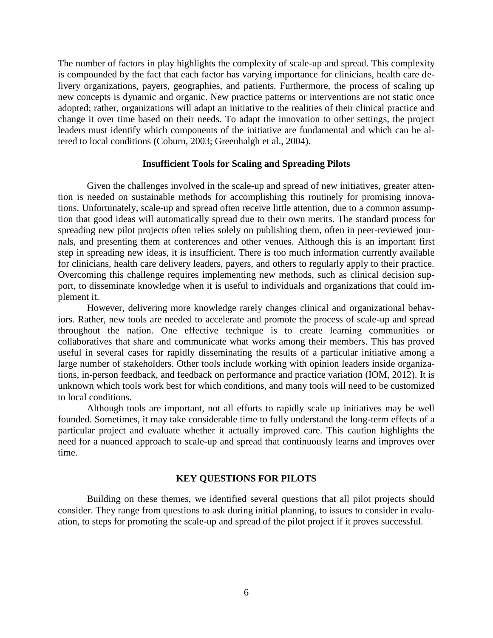The number of factors in play highlights the complexity of scale-up and spread. This complexity is compounded by the fact that each factor has varying importance for clinicians, health care delivery organizations, payers, geographies, and patients. Furthermore, the process of scaling up new concepts is dynamic and organic. New practice patterns or interventions are not static once adopted; rather, organizations will adapt an initiative to the realities of their clinical practice and change it over time based on their needs. To adapt the innovation to other settings, the project leaders must identify which components of the initiative are fundamental and which can be altered to local conditions (Coburn, 2003; Greenhalgh et al., 2004).

#### **Insufficient Tools for Scaling and Spreading Pilots**

Given the challenges involved in the scale-up and spread of new initiatives, greater attention is needed on sustainable methods for accomplishing this routinely for promising innovations. Unfortunately, scale-up and spread often receive little attention, due to a common assumption that good ideas will automatically spread due to their own merits. The standard process for spreading new pilot projects often relies solely on publishing them, often in peer-reviewed journals, and presenting them at conferences and other venues. Although this is an important first step in spreading new ideas, it is insufficient. There is too much information currently available for clinicians, health care delivery leaders, payers, and others to regularly apply to their practice. Overcoming this challenge requires implementing new methods, such as clinical decision support, to disseminate knowledge when it is useful to individuals and organizations that could implement it.

However, delivering more knowledge rarely changes clinical and organizational behaviors. Rather, new tools are needed to accelerate and promote the process of scale-up and spread throughout the nation. One effective technique is to create learning communities or collaboratives that share and communicate what works among their members. This has proved useful in several cases for rapidly disseminating the results of a particular initiative among a large number of stakeholders. Other tools include working with opinion leaders inside organizations, in-person feedback, and feedback on performance and practice variation (IOM, 2012). It is unknown which tools work best for which conditions, and many tools will need to be customized to local conditions.

Although tools are important, not all efforts to rapidly scale up initiatives may be well founded. Sometimes, it may take considerable time to fully understand the long-term effects of a particular project and evaluate whether it actually improved care. This caution highlights the need for a nuanced approach to scale-up and spread that continuously learns and improves over time.

#### **KEY QUESTIONS FOR PILOTS**

Building on these themes, we identified several questions that all pilot projects should consider. They range from questions to ask during initial planning, to issues to consider in evaluation, to steps for promoting the scale-up and spread of the pilot project if it proves successful.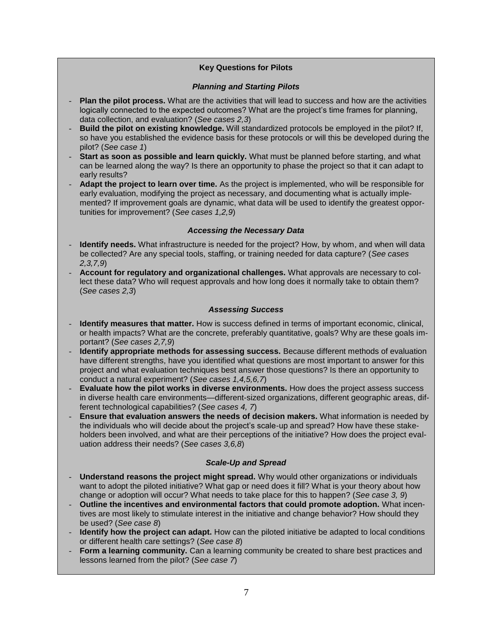#### **Key Questions for Pilots**

#### *Planning and Starting Pilots*

- **Plan the pilot process.** What are the activities that will lead to success and how are the activities logically connected to the expected outcomes? What are the project's time frames for planning, data collection, and evaluation? (*See cases 2,3*)
- **Build the pilot on existing knowledge.** Will standardized protocols be employed in the pilot? If, so have you established the evidence basis for these protocols or will this be developed during the pilot? (*See case 1*)
- **Start as soon as possible and learn quickly.** What must be planned before starting, and what can be learned along the way? Is there an opportunity to phase the project so that it can adapt to early results?
- **Adapt the project to learn over time.** As the project is implemented, who will be responsible for early evaluation, modifying the project as necessary, and documenting what is actually implemented? If improvement goals are dynamic, what data will be used to identify the greatest opportunities for improvement? (*See cases 1,2,9*)

#### *Accessing the Necessary Data*

- **Identify needs.** What infrastructure is needed for the project? How, by whom, and when will data be collected? Are any special tools, staffing, or training needed for data capture? (*See cases 2,3,7,9*)
- **Account for regulatory and organizational challenges.** What approvals are necessary to collect these data? Who will request approvals and how long does it normally take to obtain them? (*See cases 2,3*)

#### *Assessing Success*

- **Identify measures that matter.** How is success defined in terms of important economic, clinical, or health impacts? What are the concrete, preferably quantitative, goals? Why are these goals important? (*See cases 2,7,9*)
- **Identify appropriate methods for assessing success.** Because different methods of evaluation have different strengths, have you identified what questions are most important to answer for this project and what evaluation techniques best answer those questions? Is there an opportunity to conduct a natural experiment? (*See cases 1,4,5,6,7*)
- **Evaluate how the pilot works in diverse environments.** How does the project assess success in diverse health care environments—different-sized organizations, different geographic areas, different technological capabilities? (*See cases 4, 7*)
- **Ensure that evaluation answers the needs of decision makers.** What information is needed by the individuals who will decide about the project's scale-up and spread? How have these stakeholders been involved, and what are their perceptions of the initiative? How does the project evaluation address their needs? (*See cases 3,6,8*)

#### *Scale-Up and Spread*

- **Understand reasons the project might spread.** Why would other organizations or individuals want to adopt the piloted initiative? What gap or need does it fill? What is your theory about how change or adoption will occur? What needs to take place for this to happen? (*See case 3, 9*)
- **Outline the incentives and environmental factors that could promote adoption.** What incentives are most likely to stimulate interest in the initiative and change behavior? How should they be used? (*See case 8*)
- **Identify how the project can adapt.** How can the piloted initiative be adapted to local conditions or different health care settings? (*See case 8*)
- **Form a learning community.** Can a learning community be created to share best practices and lessons learned from the pilot? (*See case 7*)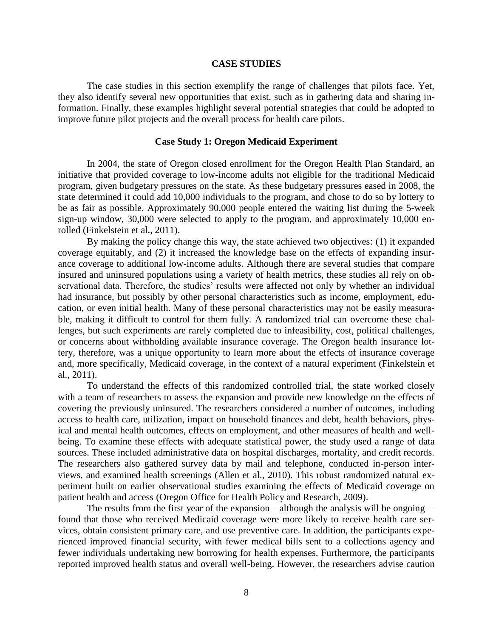#### **CASE STUDIES**

The case studies in this section exemplify the range of challenges that pilots face. Yet, they also identify several new opportunities that exist, such as in gathering data and sharing information. Finally, these examples highlight several potential strategies that could be adopted to improve future pilot projects and the overall process for health care pilots.

#### **Case Study 1: Oregon Medicaid Experiment**

In 2004, the state of Oregon closed enrollment for the Oregon Health Plan Standard, an initiative that provided coverage to low-income adults not eligible for the traditional Medicaid program, given budgetary pressures on the state. As these budgetary pressures eased in 2008, the state determined it could add 10,000 individuals to the program, and chose to do so by lottery to be as fair as possible. Approximately 90,000 people entered the waiting list during the 5-week sign-up window, 30,000 were selected to apply to the program, and approximately 10,000 enrolled (Finkelstein et al., 2011).

By making the policy change this way, the state achieved two objectives: (1) it expanded coverage equitably, and (2) it increased the knowledge base on the effects of expanding insurance coverage to additional low-income adults. Although there are several studies that compare insured and uninsured populations using a variety of health metrics, these studies all rely on observational data. Therefore, the studies' results were affected not only by whether an individual had insurance, but possibly by other personal characteristics such as income, employment, education, or even initial health. Many of these personal characteristics may not be easily measurable, making it difficult to control for them fully. A randomized trial can overcome these challenges, but such experiments are rarely completed due to infeasibility, cost, political challenges, or concerns about withholding available insurance coverage. The Oregon health insurance lottery, therefore, was a unique opportunity to learn more about the effects of insurance coverage and, more specifically, Medicaid coverage, in the context of a natural experiment (Finkelstein et al., 2011).

To understand the effects of this randomized controlled trial, the state worked closely with a team of researchers to assess the expansion and provide new knowledge on the effects of covering the previously uninsured. The researchers considered a number of outcomes, including access to health care, utilization, impact on household finances and debt, health behaviors, physical and mental health outcomes, effects on employment, and other measures of health and wellbeing. To examine these effects with adequate statistical power, the study used a range of data sources. These included administrative data on hospital discharges, mortality, and credit records. The researchers also gathered survey data by mail and telephone, conducted in-person interviews, and examined health screenings (Allen et al., 2010). This robust randomized natural experiment built on earlier observational studies examining the effects of Medicaid coverage on patient health and access (Oregon Office for Health Policy and Research, 2009).

The results from the first year of the expansion—although the analysis will be ongoing found that those who received Medicaid coverage were more likely to receive health care services, obtain consistent primary care, and use preventive care. In addition, the participants experienced improved financial security, with fewer medical bills sent to a collections agency and fewer individuals undertaking new borrowing for health expenses. Furthermore, the participants reported improved health status and overall well-being. However, the researchers advise caution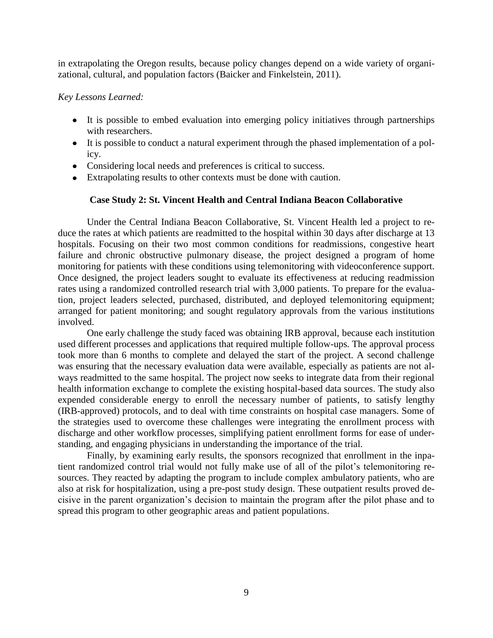in extrapolating the Oregon results, because policy changes depend on a wide variety of organizational, cultural, and population factors (Baicker and Finkelstein, 2011).

# *Key Lessons Learned:*

- It is possible to embed evaluation into emerging policy initiatives through partnerships with researchers.
- It is possible to conduct a natural experiment through the phased implementation of a policy.
- Considering local needs and preferences is critical to success.
- Extrapolating results to other contexts must be done with caution.

# **Case Study 2: St. Vincent Health and Central Indiana Beacon Collaborative**

Under the Central Indiana Beacon Collaborative, St. Vincent Health led a project to reduce the rates at which patients are readmitted to the hospital within 30 days after discharge at 13 hospitals. Focusing on their two most common conditions for readmissions, congestive heart failure and chronic obstructive pulmonary disease, the project designed a program of home monitoring for patients with these conditions using telemonitoring with videoconference support. Once designed, the project leaders sought to evaluate its effectiveness at reducing readmission rates using a randomized controlled research trial with 3,000 patients. To prepare for the evaluation, project leaders selected, purchased, distributed, and deployed telemonitoring equipment; arranged for patient monitoring; and sought regulatory approvals from the various institutions involved.

One early challenge the study faced was obtaining IRB approval, because each institution used different processes and applications that required multiple follow-ups. The approval process took more than 6 months to complete and delayed the start of the project. A second challenge was ensuring that the necessary evaluation data were available, especially as patients are not always readmitted to the same hospital. The project now seeks to integrate data from their regional health information exchange to complete the existing hospital-based data sources. The study also expended considerable energy to enroll the necessary number of patients, to satisfy lengthy (IRB-approved) protocols, and to deal with time constraints on hospital case managers. Some of the strategies used to overcome these challenges were integrating the enrollment process with discharge and other workflow processes, simplifying patient enrollment forms for ease of understanding, and engaging physicians in understanding the importance of the trial.

Finally, by examining early results, the sponsors recognized that enrollment in the inpatient randomized control trial would not fully make use of all of the pilot's telemonitoring resources. They reacted by adapting the program to include complex ambulatory patients, who are also at risk for hospitalization, using a pre-post study design. These outpatient results proved decisive in the parent organization's decision to maintain the program after the pilot phase and to spread this program to other geographic areas and patient populations.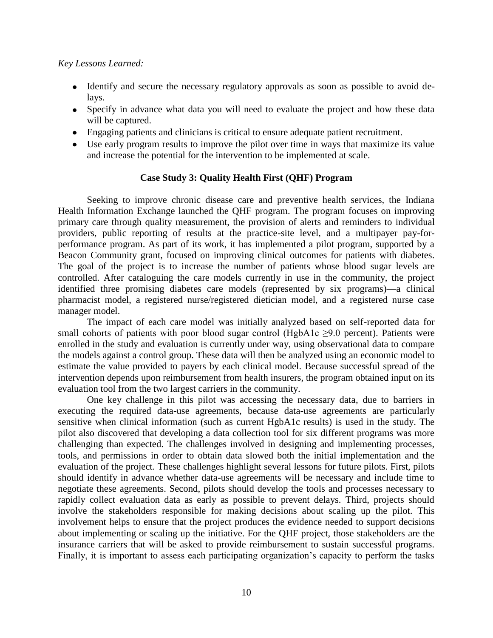#### *Key Lessons Learned:*

- Identify and secure the necessary regulatory approvals as soon as possible to avoid delays.
- Specify in advance what data you will need to evaluate the project and how these data will be captured.
- Engaging patients and clinicians is critical to ensure adequate patient recruitment.
- Use early program results to improve the pilot over time in ways that maximize its value and increase the potential for the intervention to be implemented at scale.

# **Case Study 3: Quality Health First (QHF) Program**

Seeking to improve chronic disease care and preventive health services, the Indiana Health Information Exchange launched the QHF program. The program focuses on improving primary care through quality measurement, the provision of alerts and reminders to individual providers, public reporting of results at the practice-site level, and a multipayer pay-forperformance program. As part of its work, it has implemented a pilot program, supported by a Beacon Community grant, focused on improving clinical outcomes for patients with diabetes. The goal of the project is to increase the number of patients whose blood sugar levels are controlled. After cataloguing the care models currently in use in the community, the project identified three promising diabetes care models (represented by six programs)—a clinical pharmacist model, a registered nurse/registered dietician model, and a registered nurse case manager model.

The impact of each care model was initially analyzed based on self-reported data for small cohorts of patients with poor blood sugar control (HgbA1c  $\geq$ 9.0 percent). Patients were enrolled in the study and evaluation is currently under way, using observational data to compare the models against a control group. These data will then be analyzed using an economic model to estimate the value provided to payers by each clinical model. Because successful spread of the intervention depends upon reimbursement from health insurers, the program obtained input on its evaluation tool from the two largest carriers in the community.

One key challenge in this pilot was accessing the necessary data, due to barriers in executing the required data-use agreements, because data-use agreements are particularly sensitive when clinical information (such as current HgbA1c results) is used in the study. The pilot also discovered that developing a data collection tool for six different programs was more challenging than expected. The challenges involved in designing and implementing processes, tools, and permissions in order to obtain data slowed both the initial implementation and the evaluation of the project. These challenges highlight several lessons for future pilots. First, pilots should identify in advance whether data-use agreements will be necessary and include time to negotiate these agreements. Second, pilots should develop the tools and processes necessary to rapidly collect evaluation data as early as possible to prevent delays. Third, projects should involve the stakeholders responsible for making decisions about scaling up the pilot. This involvement helps to ensure that the project produces the evidence needed to support decisions about implementing or scaling up the initiative. For the QHF project, those stakeholders are the insurance carriers that will be asked to provide reimbursement to sustain successful programs. Finally, it is important to assess each participating organization's capacity to perform the tasks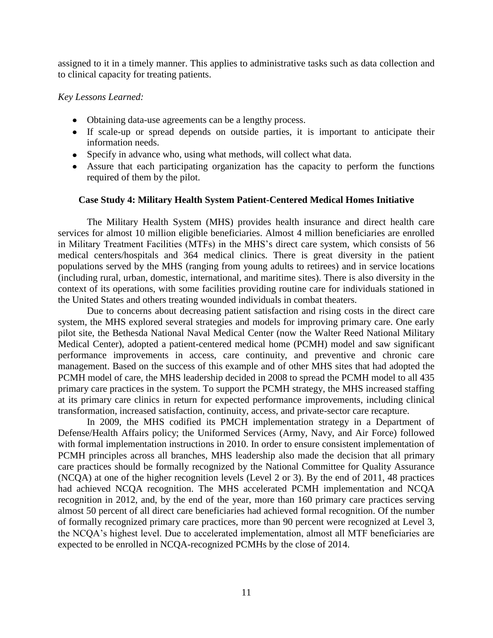assigned to it in a timely manner. This applies to administrative tasks such as data collection and to clinical capacity for treating patients.

# *Key Lessons Learned:*

- Obtaining data-use agreements can be a lengthy process.
- If scale-up or spread depends on outside parties, it is important to anticipate their information needs.
- Specify in advance who, using what methods, will collect what data.
- Assure that each participating organization has the capacity to perform the functions required of them by the pilot.

# **Case Study 4: Military Health System Patient-Centered Medical Homes Initiative**

The Military Health System (MHS) provides health insurance and direct health care services for almost 10 million eligible beneficiaries. Almost 4 million beneficiaries are enrolled in Military Treatment Facilities (MTFs) in the MHS's direct care system, which consists of 56 medical centers/hospitals and 364 medical clinics. There is great diversity in the patient populations served by the MHS (ranging from young adults to retirees) and in service locations (including rural, urban, domestic, international, and maritime sites). There is also diversity in the context of its operations, with some facilities providing routine care for individuals stationed in the United States and others treating wounded individuals in combat theaters.

Due to concerns about decreasing patient satisfaction and rising costs in the direct care system, the MHS explored several strategies and models for improving primary care. One early pilot site, the Bethesda National Naval Medical Center (now the Walter Reed National Military Medical Center), adopted a patient-centered medical home (PCMH) model and saw significant performance improvements in access, care continuity, and preventive and chronic care management. Based on the success of this example and of other MHS sites that had adopted the PCMH model of care, the MHS leadership decided in 2008 to spread the PCMH model to all 435 primary care practices in the system. To support the PCMH strategy, the MHS increased staffing at its primary care clinics in return for expected performance improvements, including clinical transformation, increased satisfaction, continuity, access, and private-sector care recapture.

In 2009, the MHS codified its PMCH implementation strategy in a Department of Defense/Health Affairs policy; the Uniformed Services (Army, Navy, and Air Force) followed with formal implementation instructions in 2010. In order to ensure consistent implementation of PCMH principles across all branches, MHS leadership also made the decision that all primary care practices should be formally recognized by the National Committee for Quality Assurance (NCQA) at one of the higher recognition levels (Level 2 or 3). By the end of 2011, 48 practices had achieved NCQA recognition. The MHS accelerated PCMH implementation and NCQA recognition in 2012, and, by the end of the year, more than 160 primary care practices serving almost 50 percent of all direct care beneficiaries had achieved formal recognition. Of the number of formally recognized primary care practices, more than 90 percent were recognized at Level 3, the NCQA's highest level. Due to accelerated implementation, almost all MTF beneficiaries are expected to be enrolled in NCQA-recognized PCMHs by the close of 2014.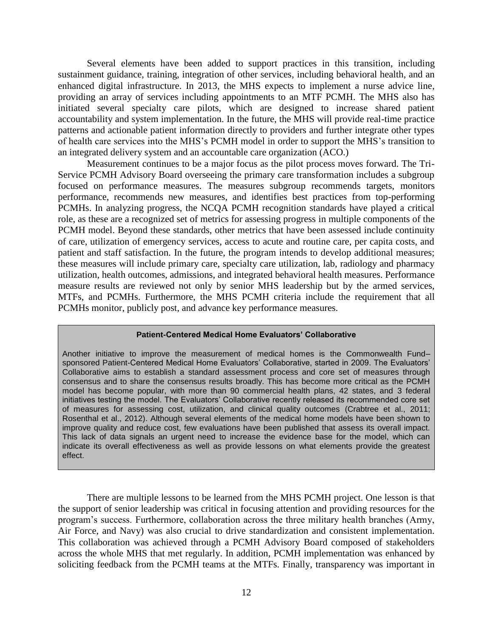Several elements have been added to support practices in this transition, including sustainment guidance, training, integration of other services, including behavioral health, and an enhanced digital infrastructure. In 2013, the MHS expects to implement a nurse advice line, providing an array of services including appointments to an MTF PCMH. The MHS also has initiated several specialty care pilots, which are designed to increase shared patient accountability and system implementation. In the future, the MHS will provide real-time practice patterns and actionable patient information directly to providers and further integrate other types of health care services into the MHS's PCMH model in order to support the MHS's transition to an integrated delivery system and an accountable care organization (ACO.)

Measurement continues to be a major focus as the pilot process moves forward. The Tri-Service PCMH Advisory Board overseeing the primary care transformation includes a subgroup focused on performance measures. The measures subgroup recommends targets, monitors performance, recommends new measures, and identifies best practices from top-performing PCMHs. In analyzing progress, the NCQA PCMH recognition standards have played a critical role, as these are a recognized set of metrics for assessing progress in multiple components of the PCMH model. Beyond these standards, other metrics that have been assessed include continuity of care, utilization of emergency services, access to acute and routine care, per capita costs, and patient and staff satisfaction. In the future, the program intends to develop additional measures; these measures will include primary care, specialty care utilization, lab, radiology and pharmacy utilization, health outcomes, admissions, and integrated behavioral health measures. Performance measure results are reviewed not only by senior MHS leadership but by the armed services, MTFs, and PCMHs. Furthermore, the MHS PCMH criteria include the requirement that all PCMHs monitor, publicly post, and advance key performance measures.

#### **Patient-Centered Medical Home Evaluators' Collaborative**

Another initiative to improve the measurement of medical homes is the Commonwealth Fund– sponsored Patient-Centered Medical Home Evaluators' Collaborative, started in 2009. The Evaluators' Collaborative aims to establish a standard assessment process and core set of measures through consensus and to share the consensus results broadly. This has become more critical as the PCMH model has become popular, with more than 90 commercial health plans, 42 states, and 3 federal initiatives testing the model. The Evaluators' Collaborative recently released its recommended core set of measures for assessing cost, utilization, and clinical quality outcomes (Crabtree et al., 2011; Rosenthal et al., 2012). Although several elements of the medical home models have been shown to improve quality and reduce cost, few evaluations have been published that assess its overall impact. This lack of data signals an urgent need to increase the evidence base for the model, which can indicate its overall effectiveness as well as provide lessons on what elements provide the greatest effect.

There are multiple lessons to be learned from the MHS PCMH project. One lesson is that the support of senior leadership was critical in focusing attention and providing resources for the program's success. Furthermore, collaboration across the three military health branches (Army, Air Force, and Navy) was also crucial to drive standardization and consistent implementation. This collaboration was achieved through a PCMH Advisory Board composed of stakeholders across the whole MHS that met regularly. In addition, PCMH implementation was enhanced by soliciting feedback from the PCMH teams at the MTFs. Finally, transparency was important in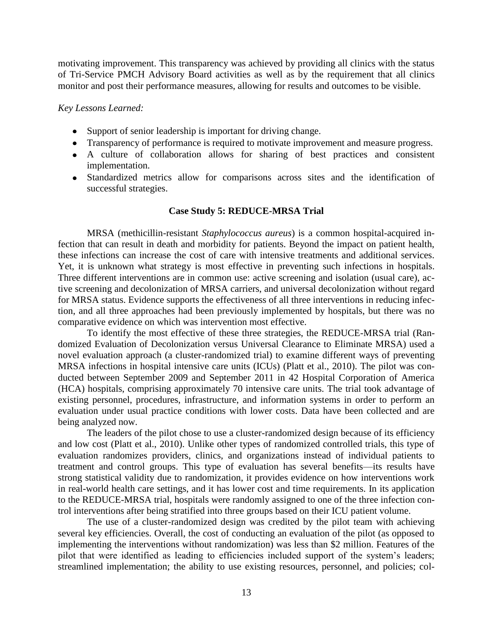motivating improvement. This transparency was achieved by providing all clinics with the status of Tri-Service PMCH Advisory Board activities as well as by the requirement that all clinics monitor and post their performance measures, allowing for results and outcomes to be visible.

#### *Key Lessons Learned:*

- Support of senior leadership is important for driving change.
- Transparency of performance is required to motivate improvement and measure progress.
- A culture of collaboration allows for sharing of best practices and consistent implementation.
- Standardized metrics allow for comparisons across sites and the identification of successful strategies.

#### **Case Study 5: REDUCE-MRSA Trial**

MRSA (methicillin-resistant *Staphylococcus aureus*) is a common hospital-acquired infection that can result in death and morbidity for patients. Beyond the impact on patient health, these infections can increase the cost of care with intensive treatments and additional services. Yet, it is unknown what strategy is most effective in preventing such infections in hospitals. Three different interventions are in common use: active screening and isolation (usual care), active screening and decolonization of MRSA carriers, and universal decolonization without regard for MRSA status. Evidence supports the effectiveness of all three interventions in reducing infection, and all three approaches had been previously implemented by hospitals, but there was no comparative evidence on which was intervention most effective.

To identify the most effective of these three strategies, the REDUCE-MRSA trial (Randomized Evaluation of Decolonization versus Universal Clearance to Eliminate MRSA) used a novel evaluation approach (a cluster-randomized trial) to examine different ways of preventing MRSA infections in hospital intensive care units (ICUs) (Platt et al., 2010). The pilot was conducted between September 2009 and September 2011 in 42 Hospital Corporation of America (HCA) hospitals, comprising approximately 70 intensive care units. The trial took advantage of existing personnel, procedures, infrastructure, and information systems in order to perform an evaluation under usual practice conditions with lower costs. Data have been collected and are being analyzed now.

The leaders of the pilot chose to use a cluster-randomized design because of its efficiency and low cost (Platt et al., 2010). Unlike other types of randomized controlled trials, this type of evaluation randomizes providers, clinics, and organizations instead of individual patients to treatment and control groups. This type of evaluation has several benefits—its results have strong statistical validity due to randomization, it provides evidence on how interventions work in real-world health care settings, and it has lower cost and time requirements. In its application to the REDUCE-MRSA trial, hospitals were randomly assigned to one of the three infection control interventions after being stratified into three groups based on their ICU patient volume.

The use of a cluster-randomized design was credited by the pilot team with achieving several key efficiencies. Overall, the cost of conducting an evaluation of the pilot (as opposed to implementing the interventions without randomization) was less than \$2 million. Features of the pilot that were identified as leading to efficiencies included support of the system's leaders; streamlined implementation; the ability to use existing resources, personnel, and policies; col-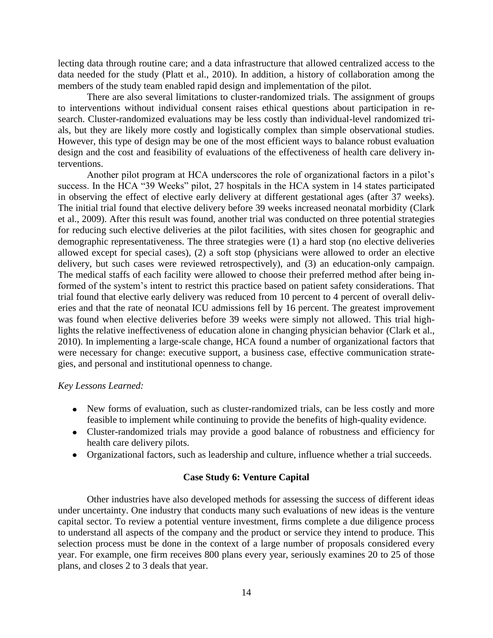lecting data through routine care; and a data infrastructure that allowed centralized access to the data needed for the study (Platt et al., 2010). In addition, a history of collaboration among the members of the study team enabled rapid design and implementation of the pilot.

There are also several limitations to cluster-randomized trials. The assignment of groups to interventions without individual consent raises ethical questions about participation in research. Cluster-randomized evaluations may be less costly than individual-level randomized trials, but they are likely more costly and logistically complex than simple observational studies. However, this type of design may be one of the most efficient ways to balance robust evaluation design and the cost and feasibility of evaluations of the effectiveness of health care delivery interventions.

Another pilot program at HCA underscores the role of organizational factors in a pilot's success. In the HCA "39 Weeks" pilot, 27 hospitals in the HCA system in 14 states participated in observing the effect of elective early delivery at different gestational ages (after 37 weeks). The initial trial found that elective delivery before 39 weeks increased neonatal morbidity (Clark et al., 2009). After this result was found, another trial was conducted on three potential strategies for reducing such elective deliveries at the pilot facilities, with sites chosen for geographic and demographic representativeness. The three strategies were (1) a hard stop (no elective deliveries allowed except for special cases), (2) a soft stop (physicians were allowed to order an elective delivery, but such cases were reviewed retrospectively), and (3) an education-only campaign. The medical staffs of each facility were allowed to choose their preferred method after being informed of the system's intent to restrict this practice based on patient safety considerations. That trial found that elective early delivery was reduced from 10 percent to 4 percent of overall deliveries and that the rate of neonatal ICU admissions fell by 16 percent. The greatest improvement was found when elective deliveries before 39 weeks were simply not allowed. This trial highlights the relative ineffectiveness of education alone in changing physician behavior (Clark et al., 2010). In implementing a large-scale change, HCA found a number of organizational factors that were necessary for change: executive support, a business case, effective communication strategies, and personal and institutional openness to change.

#### *Key Lessons Learned:*

- New forms of evaluation, such as cluster-randomized trials, can be less costly and more feasible to implement while continuing to provide the benefits of high-quality evidence.
- Cluster-randomized trials may provide a good balance of robustness and efficiency for health care delivery pilots.
- Organizational factors, such as leadership and culture, influence whether a trial succeeds.

#### **Case Study 6: Venture Capital**

Other industries have also developed methods for assessing the success of different ideas under uncertainty. One industry that conducts many such evaluations of new ideas is the venture capital sector. To review a potential venture investment, firms complete a due diligence process to understand all aspects of the company and the product or service they intend to produce. This selection process must be done in the context of a large number of proposals considered every year. For example, one firm receives 800 plans every year, seriously examines 20 to 25 of those plans, and closes 2 to 3 deals that year.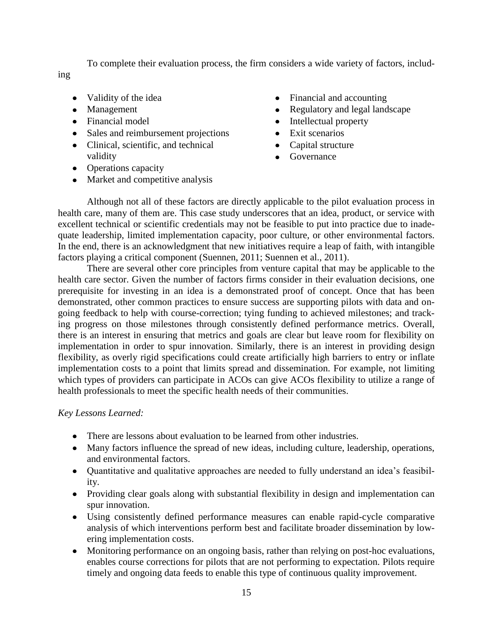To complete their evaluation process, the firm considers a wide variety of factors, includ-

- Validity of the idea
- Management

ing

- Financial model
- Sales and reimbursement projections
- Clinical, scientific, and technical validity
- Operations capacity
- Market and competitive analysis
- Financial and accounting
- Regulatory and legal landscape  $\bullet$
- Intellectual property
- Exit scenarios
- Capital structure
- Governance

Although not all of these factors are directly applicable to the pilot evaluation process in health care, many of them are. This case study underscores that an idea, product, or service with excellent technical or scientific credentials may not be feasible to put into practice due to inadequate leadership, limited implementation capacity, poor culture, or other environmental factors. In the end, there is an acknowledgment that new initiatives require a leap of faith, with intangible factors playing a critical component (Suennen, 2011; Suennen et al., 2011).

There are several other core principles from venture capital that may be applicable to the health care sector. Given the number of factors firms consider in their evaluation decisions, one prerequisite for investing in an idea is a demonstrated proof of concept. Once that has been demonstrated, other common practices to ensure success are supporting pilots with data and ongoing feedback to help with course-correction; tying funding to achieved milestones; and tracking progress on those milestones through consistently defined performance metrics. Overall, there is an interest in ensuring that metrics and goals are clear but leave room for flexibility on implementation in order to spur innovation. Similarly, there is an interest in providing design flexibility, as overly rigid specifications could create artificially high barriers to entry or inflate implementation costs to a point that limits spread and dissemination. For example, not limiting which types of providers can participate in ACOs can give ACOs flexibility to utilize a range of health professionals to meet the specific health needs of their communities.

# *Key Lessons Learned:*

- There are lessons about evaluation to be learned from other industries.
- Many factors influence the spread of new ideas, including culture, leadership, operations, and environmental factors.
- Ouantitative and qualitative approaches are needed to fully understand an idea's feasibility.
- Providing clear goals along with substantial flexibility in design and implementation can spur innovation.
- Using consistently defined performance measures can enable rapid-cycle comparative analysis of which interventions perform best and facilitate broader dissemination by lowering implementation costs.
- Monitoring performance on an ongoing basis, rather than relying on post-hoc evaluations,  $\bullet$ enables course corrections for pilots that are not performing to expectation. Pilots require timely and ongoing data feeds to enable this type of continuous quality improvement.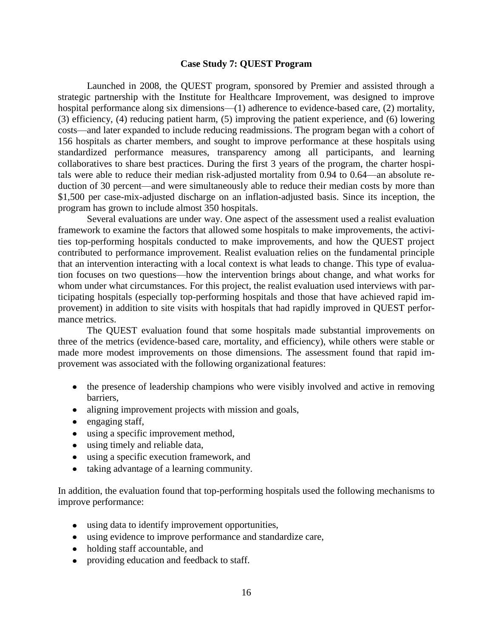#### **Case Study 7: QUEST Program**

Launched in 2008, the QUEST program, sponsored by Premier and assisted through a strategic partnership with the Institute for Healthcare Improvement, was designed to improve hospital performance along six dimensions—(1) adherence to evidence-based care, (2) mortality, (3) efficiency, (4) reducing patient harm, (5) improving the patient experience, and (6) lowering costs—and later expanded to include reducing readmissions. The program began with a cohort of 156 hospitals as charter members, and sought to improve performance at these hospitals using standardized performance measures, transparency among all participants, and learning collaboratives to share best practices. During the first 3 years of the program, the charter hospitals were able to reduce their median risk-adjusted mortality from 0.94 to 0.64—an absolute reduction of 30 percent—and were simultaneously able to reduce their median costs by more than \$1,500 per case-mix-adjusted discharge on an inflation-adjusted basis. Since its inception, the program has grown to include almost 350 hospitals.

Several evaluations are under way. One aspect of the assessment used a realist evaluation framework to examine the factors that allowed some hospitals to make improvements, the activities top-performing hospitals conducted to make improvements, and how the QUEST project contributed to performance improvement. Realist evaluation relies on the fundamental principle that an intervention interacting with a local context is what leads to change. This type of evaluation focuses on two questions—how the intervention brings about change, and what works for whom under what circumstances. For this project, the realist evaluation used interviews with participating hospitals (especially top-performing hospitals and those that have achieved rapid improvement) in addition to site visits with hospitals that had rapidly improved in QUEST performance metrics.

The QUEST evaluation found that some hospitals made substantial improvements on three of the metrics (evidence-based care, mortality, and efficiency), while others were stable or made more modest improvements on those dimensions. The assessment found that rapid improvement was associated with the following organizational features:

- the presence of leadership champions who were visibly involved and active in removing barriers,
- aligning improvement projects with mission and goals,
- $\bullet$  engaging staff,
- using a specific improvement method,
- using timely and reliable data,
- using a specific execution framework, and
- taking advantage of a learning community.

In addition, the evaluation found that top-performing hospitals used the following mechanisms to improve performance:

- using data to identify improvement opportunities,
- using evidence to improve performance and standardize care,
- holding staff accountable, and
- providing education and feedback to staff.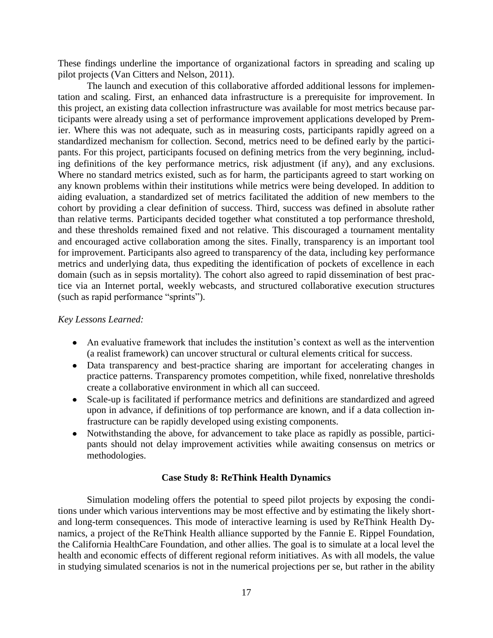These findings underline the importance of organizational factors in spreading and scaling up pilot projects (Van Citters and Nelson, 2011).

The launch and execution of this collaborative afforded additional lessons for implementation and scaling. First, an enhanced data infrastructure is a prerequisite for improvement. In this project, an existing data collection infrastructure was available for most metrics because participants were already using a set of performance improvement applications developed by Premier. Where this was not adequate, such as in measuring costs, participants rapidly agreed on a standardized mechanism for collection. Second, metrics need to be defined early by the participants. For this project, participants focused on defining metrics from the very beginning, including definitions of the key performance metrics, risk adjustment (if any), and any exclusions. Where no standard metrics existed, such as for harm, the participants agreed to start working on any known problems within their institutions while metrics were being developed. In addition to aiding evaluation, a standardized set of metrics facilitated the addition of new members to the cohort by providing a clear definition of success. Third, success was defined in absolute rather than relative terms. Participants decided together what constituted a top performance threshold, and these thresholds remained fixed and not relative. This discouraged a tournament mentality and encouraged active collaboration among the sites. Finally, transparency is an important tool for improvement. Participants also agreed to transparency of the data, including key performance metrics and underlying data, thus expediting the identification of pockets of excellence in each domain (such as in sepsis mortality). The cohort also agreed to rapid dissemination of best practice via an Internet portal, weekly webcasts, and structured collaborative execution structures (such as rapid performance "sprints").

#### *Key Lessons Learned:*

- An evaluative framework that includes the institution's context as well as the intervention (a realist framework) can uncover structural or cultural elements critical for success.
- Data transparency and best-practice sharing are important for accelerating changes in practice patterns. Transparency promotes competition, while fixed, nonrelative thresholds create a collaborative environment in which all can succeed.
- Scale-up is facilitated if performance metrics and definitions are standardized and agreed upon in advance, if definitions of top performance are known, and if a data collection infrastructure can be rapidly developed using existing components.
- Notwithstanding the above, for advancement to take place as rapidly as possible, participants should not delay improvement activities while awaiting consensus on metrics or methodologies.

#### **Case Study 8: ReThink Health Dynamics**

Simulation modeling offers the potential to speed pilot projects by exposing the conditions under which various interventions may be most effective and by estimating the likely shortand long-term consequences. This mode of interactive learning is used by ReThink Health Dynamics, a project of the ReThink Health alliance supported by the Fannie E. Rippel Foundation, the California HealthCare Foundation, and other allies. The goal is to simulate at a local level the health and economic effects of different regional reform initiatives. As with all models, the value in studying simulated scenarios is not in the numerical projections per se, but rather in the ability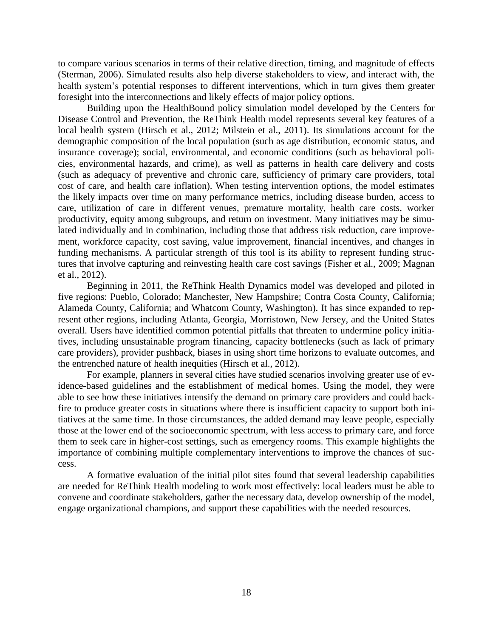to compare various scenarios in terms of their relative direction, timing, and magnitude of effects (Sterman, 2006). Simulated results also help diverse stakeholders to view, and interact with, the health system's potential responses to different interventions, which in turn gives them greater foresight into the interconnections and likely effects of major policy options.

Building upon the HealthBound policy simulation model developed by the Centers for Disease Control and Prevention, the ReThink Health model represents several key features of a local health system (Hirsch et al., 2012; Milstein et al., 2011). Its simulations account for the demographic composition of the local population (such as age distribution, economic status, and insurance coverage); social, environmental, and economic conditions (such as behavioral policies, environmental hazards, and crime), as well as patterns in health care delivery and costs (such as adequacy of preventive and chronic care, sufficiency of primary care providers, total cost of care, and health care inflation). When testing intervention options, the model estimates the likely impacts over time on many performance metrics, including disease burden, access to care, utilization of care in different venues, premature mortality, health care costs, worker productivity, equity among subgroups, and return on investment. Many initiatives may be simulated individually and in combination, including those that address risk reduction, care improvement, workforce capacity, cost saving, value improvement, financial incentives, and changes in funding mechanisms. A particular strength of this tool is its ability to represent funding structures that involve capturing and reinvesting health care cost savings (Fisher et al., 2009; Magnan et al., 2012).

Beginning in 2011, the ReThink Health Dynamics model was developed and piloted in five regions: Pueblo, Colorado; Manchester, New Hampshire; Contra Costa County, California; Alameda County, California; and Whatcom County, Washington). It has since expanded to represent other regions, including Atlanta, Georgia, Morristown, New Jersey, and the United States overall. Users have identified common potential pitfalls that threaten to undermine policy initiatives, including unsustainable program financing, capacity bottlenecks (such as lack of primary care providers), provider pushback, biases in using short time horizons to evaluate outcomes, and the entrenched nature of health inequities (Hirsch et al., 2012).

For example, planners in several cities have studied scenarios involving greater use of evidence-based guidelines and the establishment of medical homes. Using the model, they were able to see how these initiatives intensify the demand on primary care providers and could backfire to produce greater costs in situations where there is insufficient capacity to support both initiatives at the same time. In those circumstances, the added demand may leave people, especially those at the lower end of the socioeconomic spectrum, with less access to primary care, and force them to seek care in higher-cost settings, such as emergency rooms. This example highlights the importance of combining multiple complementary interventions to improve the chances of success.

A formative evaluation of the initial pilot sites found that several leadership capabilities are needed for ReThink Health modeling to work most effectively: local leaders must be able to convene and coordinate stakeholders, gather the necessary data, develop ownership of the model, engage organizational champions, and support these capabilities with the needed resources.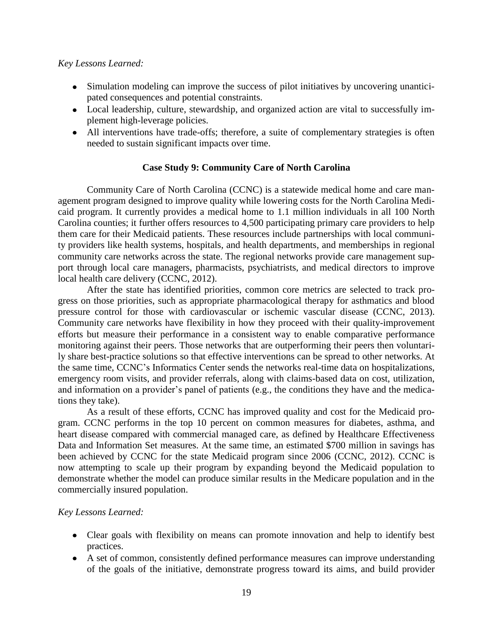#### *Key Lessons Learned:*

- Simulation modeling can improve the success of pilot initiatives by uncovering unanticipated consequences and potential constraints.
- Local leadership, culture, stewardship, and organized action are vital to successfully implement high-leverage policies.
- All interventions have trade-offs; therefore, a suite of complementary strategies is often needed to sustain significant impacts over time.

#### **Case Study 9: Community Care of North Carolina**

Community Care of North Carolina (CCNC) is a statewide medical home and care management program designed to improve quality while lowering costs for the North Carolina Medicaid program. It currently provides a medical home to 1.1 million individuals in all 100 North Carolina counties; it further offers resources to 4,500 participating primary care providers to help them care for their Medicaid patients. These resources include partnerships with local community providers like health systems, hospitals, and health departments, and memberships in regional community care networks across the state. The regional networks provide care management support through local care managers, pharmacists, psychiatrists, and medical directors to improve local health care delivery (CCNC, 2012).

After the state has identified priorities, common core metrics are selected to track progress on those priorities, such as appropriate pharmacological therapy for asthmatics and blood pressure control for those with cardiovascular or ischemic vascular disease (CCNC, 2013). Community care networks have flexibility in how they proceed with their quality-improvement efforts but measure their performance in a consistent way to enable comparative performance monitoring against their peers. Those networks that are outperforming their peers then voluntarily share best-practice solutions so that effective interventions can be spread to other networks. At the same time, CCNC's Informatics Center sends the networks real-time data on hospitalizations, emergency room visits, and provider referrals, along with claims-based data on cost, utilization, and information on a provider's panel of patients (e.g., the conditions they have and the medications they take).

As a result of these efforts, CCNC has improved quality and cost for the Medicaid program. CCNC performs in the top 10 percent on common measures for diabetes, asthma, and heart disease compared with commercial managed care, as defined by Healthcare Effectiveness Data and Information Set measures. At the same time, an estimated \$700 million in savings has been achieved by CCNC for the state Medicaid program since 2006 (CCNC, 2012). CCNC is now attempting to scale up their program by expanding beyond the Medicaid population to demonstrate whether the model can produce similar results in the Medicare population and in the commercially insured population.

### *Key Lessons Learned:*

- Clear goals with flexibility on means can promote innovation and help to identify best practices.
- A set of common, consistently defined performance measures can improve understanding of the goals of the initiative, demonstrate progress toward its aims, and build provider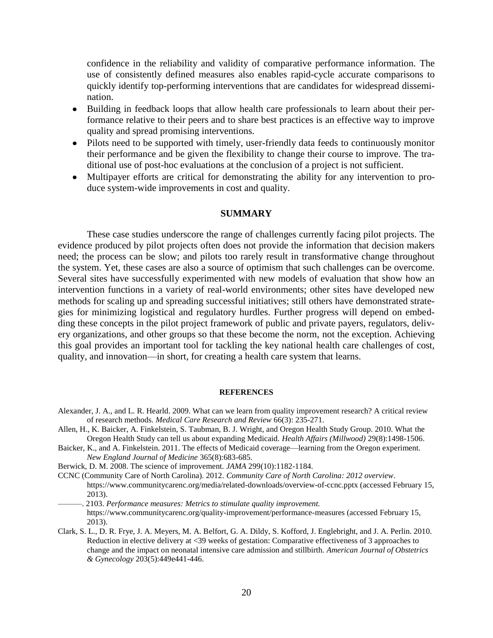confidence in the reliability and validity of comparative performance information. The use of consistently defined measures also enables rapid-cycle accurate comparisons to quickly identify top-performing interventions that are candidates for widespread dissemination.

- Building in feedback loops that allow health care professionals to learn about their performance relative to their peers and to share best practices is an effective way to improve quality and spread promising interventions.
- Pilots need to be supported with timely, user-friendly data feeds to continuously monitor their performance and be given the flexibility to change their course to improve. The traditional use of post-hoc evaluations at the conclusion of a project is not sufficient.
- Multipayer efforts are critical for demonstrating the ability for any intervention to produce system-wide improvements in cost and quality.

#### **SUMMARY**

These case studies underscore the range of challenges currently facing pilot projects. The evidence produced by pilot projects often does not provide the information that decision makers need; the process can be slow; and pilots too rarely result in transformative change throughout the system. Yet, these cases are also a source of optimism that such challenges can be overcome. Several sites have successfully experimented with new models of evaluation that show how an intervention functions in a variety of real-world environments; other sites have developed new methods for scaling up and spreading successful initiatives; still others have demonstrated strategies for minimizing logistical and regulatory hurdles. Further progress will depend on embedding these concepts in the pilot project framework of public and private payers, regulators, delivery organizations, and other groups so that these become the norm, not the exception. Achieving this goal provides an important tool for tackling the key national health care challenges of cost, quality, and innovation—in short, for creating a health care system that learns.

#### **REFERENCES**

- Alexander, J. A., and L. R. Hearld. 2009. What can we learn from quality improvement research? A critical review of research methods. *Medical Care Research and Review* 66(3): 235-271.
- Allen, H., K. Baicker, A. Finkelstein, S. Taubman, B. J. Wright, and Oregon Health Study Group. 2010. What the Oregon Health Study can tell us about expanding Medicaid. *Health Affairs (Millwood)* 29(8):1498-1506.
- Baicker, K., and A. Finkelstein. 2011. The effects of Medicaid coverage—learning from the Oregon experiment. *New England Journal of Medicine* 365(8):683-685.
- Berwick, D. M. 2008. The science of improvement. *JAMA* 299(10):1182-1184.
- CCNC (Community Care of North Carolina). 2012. *Community Care of North Carolina: 2012 overview*. https://www.communitycarenc.org/media/related-downloads/overview-of-ccnc.pptx (accessed February 15, 2013).

———. 2103. *Performance measures: Metrics to stimulate quality improvement.*

https://www.communitycarenc.org/quality-improvement/performance-measures (accessed February 15, 2013).

Clark, S. L., D. R. Frye, J. A. Meyers, M. A. Belfort, G. A. Dildy, S. Kofford, J. Englebright, and J. A. Perlin. 2010. Reduction in elective delivery at <39 weeks of gestation: Comparative effectiveness of 3 approaches to change and the impact on neonatal intensive care admission and stillbirth. *American Journal of Obstetrics & Gynecology* 203(5):449e441-446.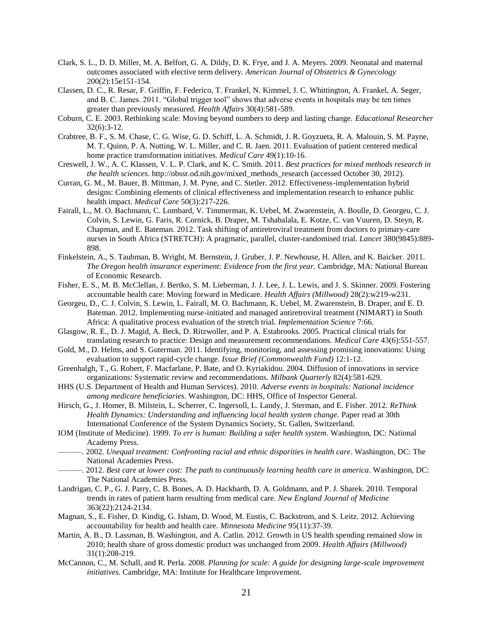- Clark, S. L., D. D. Miller, M. A. Belfort, G. A. Dildy, D. K. Frye, and J. A. Meyers. 2009. Neonatal and maternal outcomes associated with elective term delivery. *American Journal of Obstetrics & Gynecology* 200(2):15e151-154.
- Classen, D. C., R. Resar, F. Griffin, F. Federico, T. Frankel, N. Kimmel, J. C. Whittington, A. Frankel, A. Seger, and B. C. James. 2011. "Global trigger tool" shows that adverse events in hospitals may be ten times greater than previously measured. *Health Affairs* 30(4):581-589.
- Coburn, C. E. 2003. Rethinking scale: Moving beyond numbers to deep and lasting change. *Educational Researcher* 32(6):3-12.
- Crabtree, B. F., S. M. Chase, C. G. Wise, G. D. Schiff, L. A. Schmidt, J. R. Goyzueta, R. A. Malouin, S. M. Payne, M. T. Quinn, P. A. Nutting, W. L. Miller, and C. R. Jaen. 2011. Evaluation of patient centered medical home practice transformation initiatives. *Medical Care* 49(1):10-16.
- Creswell, J. W., A. C. Klassen, V. L. P. Clark, and K. C. Smith. 2011. *Best practices for mixed methods research in the health sciences*. http://obssr.od.nih.gov/mixed\_methods\_research (accessed October 30, 2012).
- Curran, G. M., M. Bauer, B. Mittman, J. M. Pyne, and C. Stetler. 2012. Effectiveness-implementation hybrid designs: Combining elements of clinical effectiveness and implementation research to enhance public health impact. *Medical Care* 50(3):217-226.
- Fairall, L., M. O. Bachmann, C. Lombard, V. Timmerman, K. Uebel, M. Zwarenstein, A. Boulle, D. Georgeu, C. J. Colvin, S. Lewin, G. Faris, R. Cornick, B. Draper, M. Tshabalala, E. Kotze, C. van Vuuren, D. Steyn, R. Chapman, and E. Bateman. 2012. Task shifting of antiretroviral treatment from doctors to primary-care nurses in South Africa (STRETCH): A pragmatic, parallel, cluster-randomised trial. *Lancet* 380(9845):889- 898.
- Finkelstein, A., S. Taubman, B. Wright, M. Bernstein, J. Gruber, J. P. Newhouse, H. Allen, and K. Baicker. 2011. *The Oregon health insurance experiment: Evidence from the first year.* Cambridge, MA: National Bureau of Economic Research.
- Fisher, E. S., M. B. McClellan, J. Bertko, S. M. Lieberman, J. J. Lee, J. L. Lewis, and J. S. Skinner. 2009. Fostering accountable health care: Moving forward in Medicare. *Health Affairs (Millwood)* 28(2):w219-w231.
- Georgeu, D., C. J. Colvin, S. Lewin, L. Fairall, M. O. Bachmann, K. Uebel, M. Zwarenstein, B. Draper, and E. D. Bateman. 2012. Implementing nurse-initiated and managed antiretroviral treatment (NIMART) in South Africa: A qualitative process evaluation of the stretch trial. *Implementation Science* 7:66.
- Glasgow, R. E., D. J. Magid, A. Beck, D. Ritzwoller, and P. A. Estabrooks. 2005. Practical clinical trials for translating research to practice: Design and measurement recommendations. *Medical Care* 43(6):551-557.
- Gold, M., D. Helms, and S. Guterman. 2011. Identifying, monitoring, and assessing promising innovations: Using evaluation to support rapid-cycle change. *Issue Brief (Commonwealth Fund)* 12:1-12.
- Greenhalgh, T., G. Robert, F. Macfarlane, P. Bate, and O. Kyriakidou. 2004. Diffusion of innovations in service organizations: Systematic review and recommendations. *Milbank Quarterly* 82(4):581-629.
- HHS (U.S. Department of Health and Human Services). 2010. *Adverse events in hospitals: National incidence among medicare beneficiaries*. Washington, DC: HHS, Office of Inspector General.
- Hirsch, G., J. Homer, B. Milstein, L. Scherrer, C. Ingersoll, L. Landy, J. Sterman, and E. Fisher. 2012. *ReThink Health Dynamics: Understanding and influencing local health system change.* Paper read at 30th International Conference of the System Dynamics Society, St. Gallen, Switzerland.
- IOM (Institute of Medicine). 1999. *To err is human: Building a safer health system*. Washington, DC: National Academy Press.
- ———. 2002. *Unequal treatment: Confronting racial and ethnic disparities in health care*. Washington, DC: The National Academies Press.
- ———. 2012. *Best care at lower cost: The path to continuously learning health care in america*. Washington, DC: The National Academies Press.
- Landrigan, C. P., G. J. Parry, C. B. Bones, A. D. Hackbarth, D. A. Goldmann, and P. J. Sharek. 2010. Temporal trends in rates of patient harm resulting from medical care. *New England Journal of Medicine* 363(22):2124-2134.
- Magnan, S., E. Fisher, D. Kindig, G. Isham, D. Wood, M. Eustis, C. Backstrom, and S. Leitz. 2012. Achieving accountability for health and health care. *Minnesota Medicine* 95(11):37-39.
- Martin, A. B., D. Lassman, B. Washington, and A. Catlin. 2012. Growth in US health spending remained slow in 2010; health share of gross domestic product was unchanged from 2009. *Health Affairs (Millwood)* 31(1):208-219.
- McCannon, C., M. Schall, and R. Perla. 2008. *Planning for scale: A guide for designing large-scale improvement initiatives.* Cambridge, MA: Institute for Healthcare Improvement.